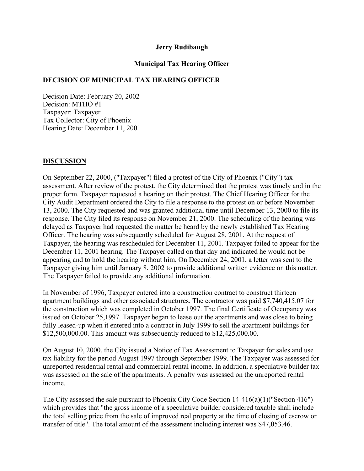#### **Jerry Rudibaugh**

## **Municipal Tax Hearing Officer**

## **DECISION OF MUNICIPAL TAX HEARING OFFICER**

Decision Date: February 20, 2002 Decision: MTHO #1 Taxpayer: Taxpayer Tax Collector: City of Phoenix Hearing Date: December 11, 2001

### **DISCUSSION**

On September 22, 2000, ("Taxpayer") filed a protest of the City of Phoenix ("City") tax assessment. After review of the protest, the City determined that the protest was timely and in the proper form. Taxpayer requested a hearing on their protest. The Chief Hearing Officer for the City Audit Department ordered the City to file a response to the protest on or before November 13, 2000. The City requested and was granted additional time until December 13, 2000 to file its response. The City filed its response on November 21, 2000. The scheduling of the hearing was delayed as Taxpayer had requested the matter be heard by the newly established Tax Hearing Officer. The hearing was subsequently scheduled for August 28, 2001. At the request of Taxpayer, the hearing was rescheduled for December 11, 2001. Taxpayer failed to appear for the December 11, 2001 hearing. The Taxpayer called on that day and indicated he would not be appearing and to hold the hearing without him. On December 24, 2001, a letter was sent to the Taxpayer giving him until January 8, 2002 to provide additional written evidence on this matter. The Taxpayer failed to provide any additional information.

In November of 1996, Taxpayer entered into a construction contract to construct thirteen apartment buildings and other associated structures. The contractor was paid \$7,740,415.07 for the construction which was completed in October 1997. The final Certificate of Occupancy was issued on October 25,1997. Taxpayer began to lease out the apartments and was close to being fully leased-up when it entered into a contract in July 1999 to sell the apartment buildings for \$12,500,000.00. This amount was subsequently reduced to \$12,425,000.00.

On August 10, 2000, the City issued a Notice of Tax Assessment to Taxpayer for sales and use tax liability for the period August 1997 through September 1999. The Taxpayer was assessed for unreported residential rental and commercial rental income. In addition, a speculative builder tax was assessed on the sale of the apartments. A penalty was assessed on the unreported rental income.

The City assessed the sale pursuant to Phoenix City Code Section 14-416(a)(1)("Section 416") which provides that "the gross income of a speculative builder considered taxable shall include the total selling price from the sale of improved real property at the time of closing of escrow or transfer of title". The total amount of the assessment including interest was \$47,053.46.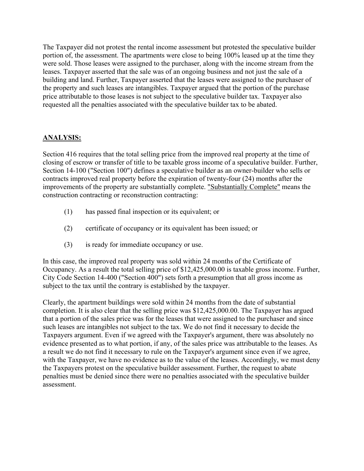The Taxpayer did not protest the rental income assessment but protested the speculative builder portion of, the assessment. The apartments were close to being 100% leased up at the time they were sold. Those leases were assigned to the purchaser, along with the income stream from the leases. Taxpayer asserted that the sale was of an ongoing business and not just the sale of a building and land. Further, Taxpayer asserted that the leases were assigned to the purchaser of the property and such leases are intangibles. Taxpayer argued that the portion of the purchase price attributable to those leases is not subject to the speculative builder tax. Taxpayer also requested all the penalties associated with the speculative builder tax to be abated.

# **ANALYSIS:**

Section 416 requires that the total selling price from the improved real property at the time of closing of escrow or transfer of title to be taxable gross income of a speculative builder. Further, Section 14-100 ("Section 100") defines a speculative builder as an owner-builder who sells or contracts improved real property before the expiration of twenty-four (24) months after the improvements of the property are substantially complete. "Substantially Complete" means the construction contracting or reconstruction contracting:

- (1) has passed final inspection or its equivalent; or
- (2) certificate of occupancy or its equivalent has been issued; or
- (3) is ready for immediate occupancy or use.

In this case, the improved real property was sold within 24 months of the Certificate of Occupancy. As a result the total selling price of \$12,425,000.00 is taxable gross income. Further, City Code Section 14-400 ("Section 400") sets forth a presumption that all gross income as subject to the tax until the contrary is established by the taxpayer.

Clearly, the apartment buildings were sold within 24 months from the date of substantial completion. It is also clear that the selling price was \$12,425,000.00. The Taxpayer has argued that a portion of the sales price was for the leases that were assigned to the purchaser and since such leases are intangibles not subject to the tax. We do not find it necessary to decide the Taxpayers argument. Even if we agreed with the Taxpayer's argument, there was absolutely no evidence presented as to what portion, if any, of the sales price was attributable to the leases. As a result we do not find it necessary to rule on the Taxpayer's argument since even if we agree, with the Taxpayer, we have no evidence as to the value of the leases. Accordingly, we must deny the Taxpayers protest on the speculative builder assessment. Further, the request to abate penalties must be denied since there were no penalties associated with the speculative builder assessment.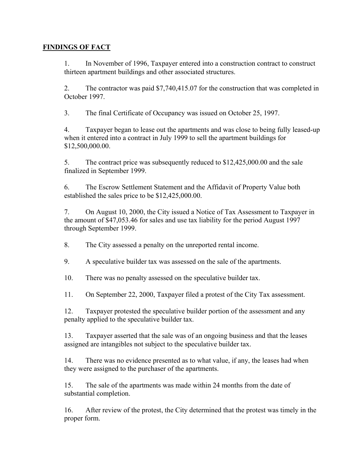## **FINDINGS OF FACT**

1. In November of 1996, Taxpayer entered into a construction contract to construct thirteen apartment buildings and other associated structures.

2. The contractor was paid \$7,740,415.07 for the construction that was completed in October 1997.

3. The final Certificate of Occupancy was issued on October 25, 1997.

4. Taxpayer began to lease out the apartments and was close to being fully leased-up when it entered into a contract in July 1999 to sell the apartment buildings for \$12,500,000.00.

5. The contract price was subsequently reduced to \$12,425,000.00 and the sale finalized in September 1999.

6. The Escrow Settlement Statement and the Affidavit of Property Value both established the sales price to be \$12,425,000.00.

7. On August 10, 2000, the City issued a Notice of Tax Assessment to Taxpayer in the amount of \$47,053.46 for sales and use tax liability for the period August 1997 through September 1999.

8. The City assessed a penalty on the unreported rental income.

9. A speculative builder tax was assessed on the sale of the apartments.

10. There was no penalty assessed on the speculative builder tax.

11. On September 22, 2000, Taxpayer filed a protest of the City Tax assessment.

12. Taxpayer protested the speculative builder portion of the assessment and any penalty applied to the speculative builder tax.

13. Taxpayer asserted that the sale was of an ongoing business and that the leases assigned are intangibles not subject to the speculative builder tax.

14. There was no evidence presented as to what value, if any, the leases had when they were assigned to the purchaser of the apartments.

15. The sale of the apartments was made within 24 months from the date of substantial completion.

16. After review of the protest, the City determined that the protest was timely in the proper form.